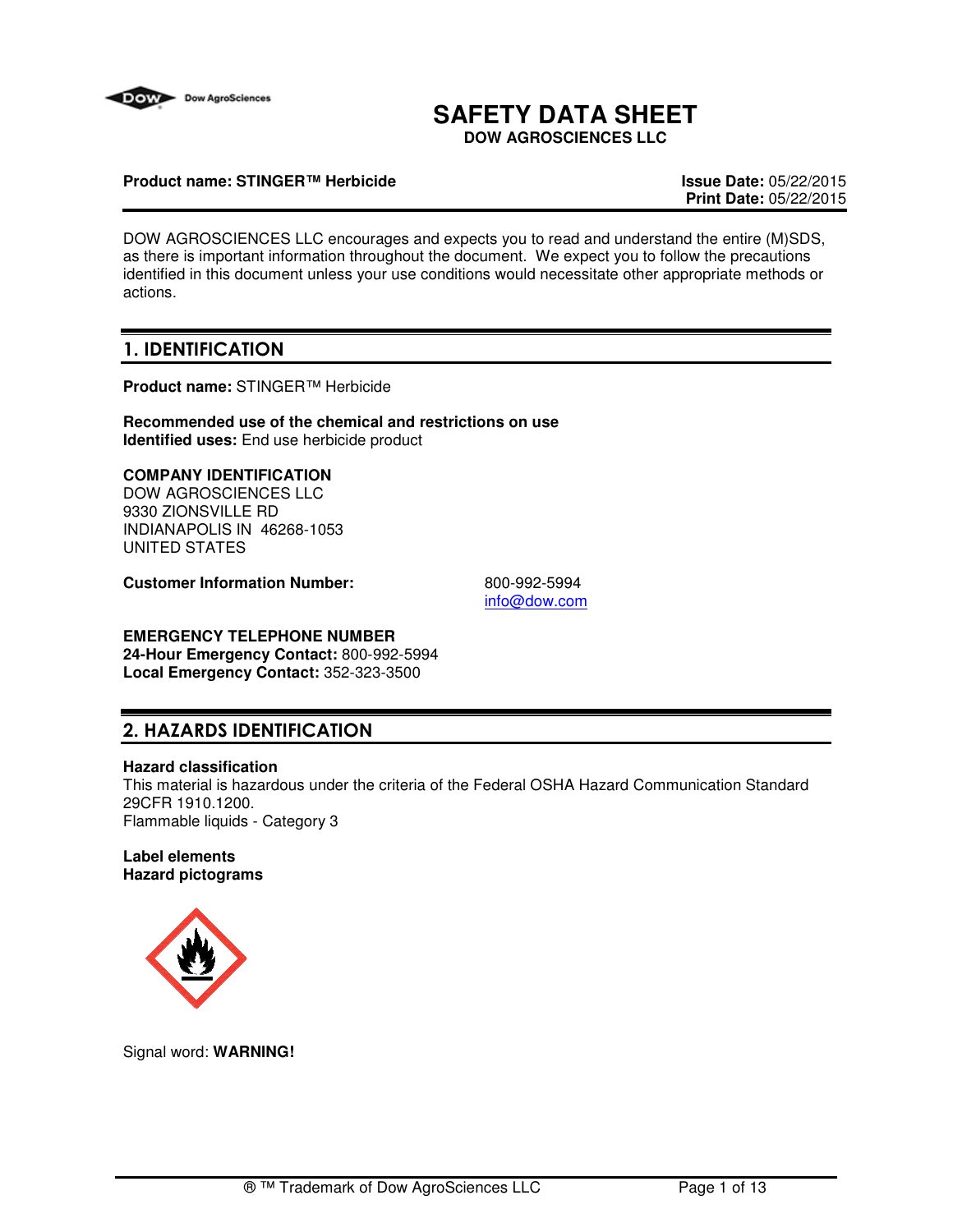

# **SAFETY DATA SHEET**

**DOW AGROSCIENCES LLC**

### **Product name: STINGER™ Herbicide Issue Date:** 05/22/2015

**Print Date:** 05/22/2015

DOW AGROSCIENCES LLC encourages and expects you to read and understand the entire (M)SDS, as there is important information throughout the document. We expect you to follow the precautions identified in this document unless your use conditions would necessitate other appropriate methods or actions.

## 1. IDENTIFICATION

**Product name:** STINGER™ Herbicide

**Recommended use of the chemical and restrictions on use Identified uses:** End use herbicide product

### **COMPANY IDENTIFICATION**

DOW AGROSCIENCES LLC 9330 ZIONSVILLE RD INDIANAPOLIS IN 46268-1053 UNITED STATES

**Customer Information Number:** 800-992-5994

info@dow.com

## **EMERGENCY TELEPHONE NUMBER**

**24-Hour Emergency Contact:** 800-992-5994 **Local Emergency Contact:** 352-323-3500

## 2. HAZARDS IDENTIFICATION

### **Hazard classification**

This material is hazardous under the criteria of the Federal OSHA Hazard Communication Standard 29CFR 1910.1200. Flammable liquids - Category 3

### **Label elements Hazard pictograms**



Signal word: **WARNING!**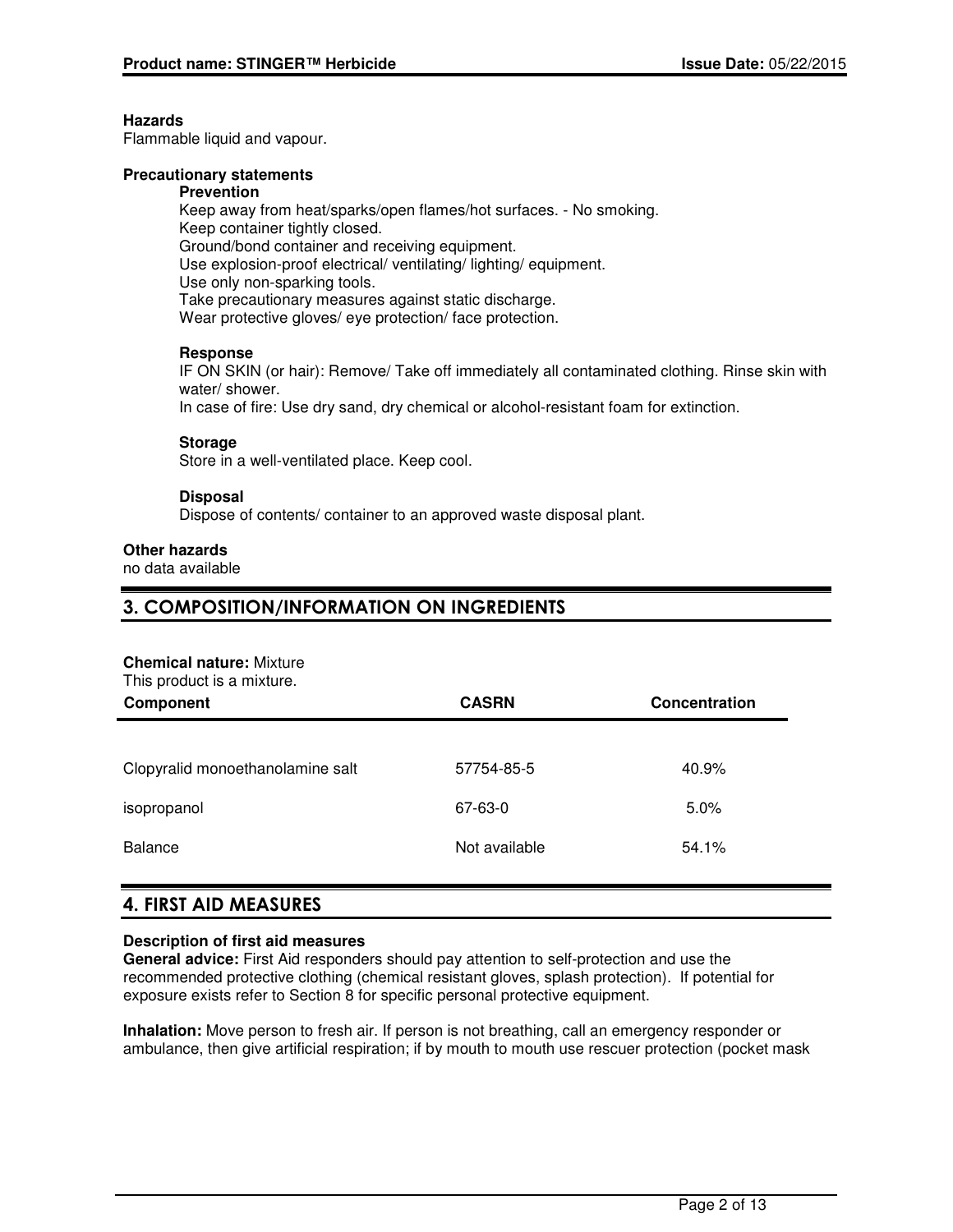### **Hazards**

Flammable liquid and vapour.

### **Precautionary statements**

#### **Prevention**

Keep away from heat/sparks/open flames/hot surfaces. - No smoking. Keep container tightly closed. Ground/bond container and receiving equipment. Use explosion-proof electrical/ ventilating/ lighting/ equipment. Use only non-sparking tools. Take precautionary measures against static discharge. Wear protective gloves/ eye protection/ face protection.

### **Response**

IF ON SKIN (or hair): Remove/ Take off immediately all contaminated clothing. Rinse skin with water/ shower.

In case of fire: Use dry sand, dry chemical or alcohol-resistant foam for extinction.

### **Storage**

Store in a well-ventilated place. Keep cool.

### **Disposal**

Dispose of contents/ container to an approved waste disposal plant.

### **Other hazards**

no data available

### 3. COMPOSITION/INFORMATION ON INGREDIENTS

### **Chemical nature:** Mixture

This product is a mixture.

| Component                        | <b>CASRN</b>  | Concentration |
|----------------------------------|---------------|---------------|
|                                  |               |               |
| Clopyralid monoethanolamine salt | 57754-85-5    | 40.9%         |
| isopropanol                      | 67-63-0       | 5.0%          |
| <b>Balance</b>                   | Not available | 54.1%         |

## 4. FIRST AID MEASURES

### **Description of first aid measures**

**General advice:** First Aid responders should pay attention to self-protection and use the recommended protective clothing (chemical resistant gloves, splash protection). If potential for exposure exists refer to Section 8 for specific personal protective equipment.

**Inhalation:** Move person to fresh air. If person is not breathing, call an emergency responder or ambulance, then give artificial respiration; if by mouth to mouth use rescuer protection (pocket mask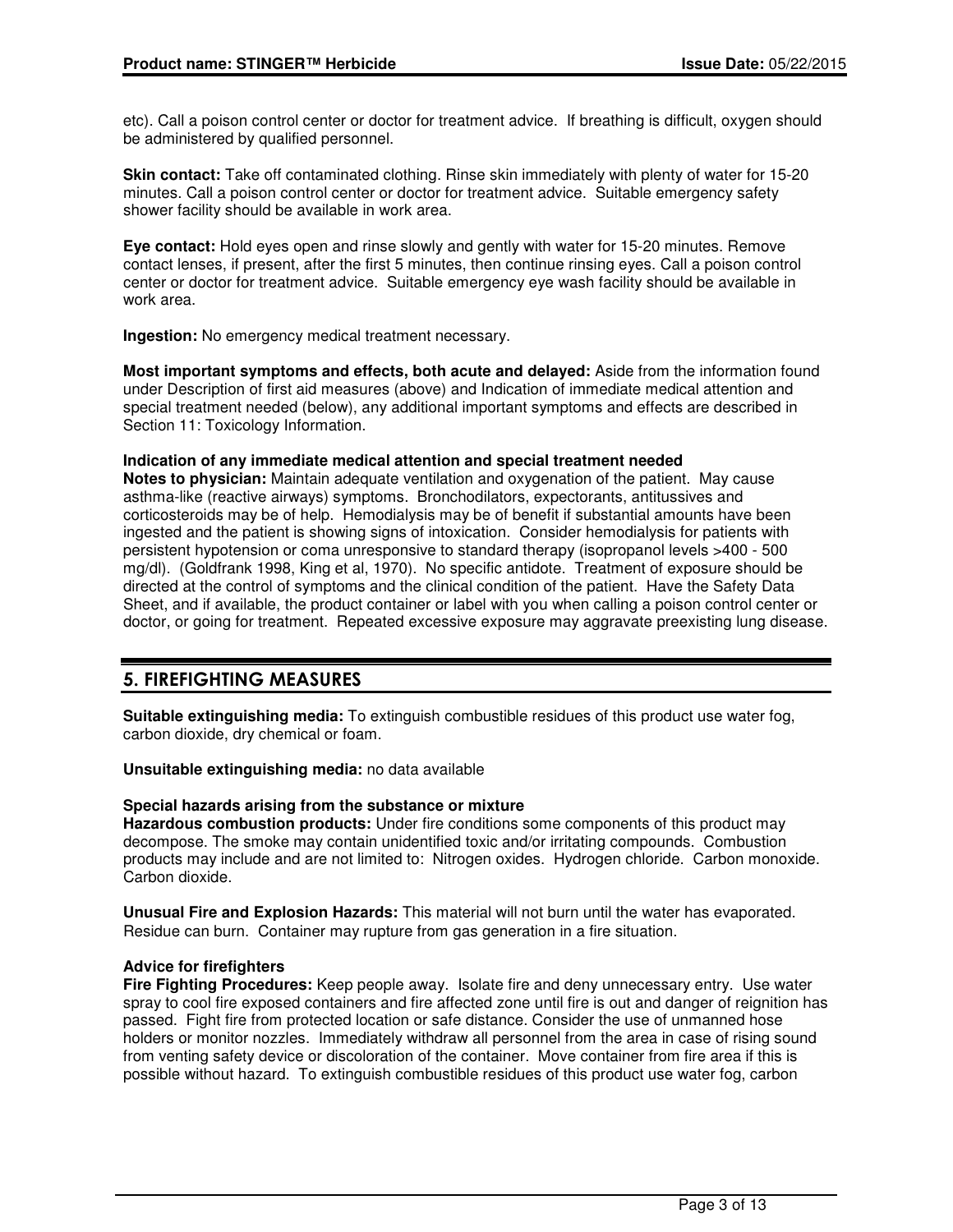etc). Call a poison control center or doctor for treatment advice. If breathing is difficult, oxygen should be administered by qualified personnel.

**Skin contact:** Take off contaminated clothing. Rinse skin immediately with plenty of water for 15-20 minutes. Call a poison control center or doctor for treatment advice. Suitable emergency safety shower facility should be available in work area.

**Eye contact:** Hold eyes open and rinse slowly and gently with water for 15-20 minutes. Remove contact lenses, if present, after the first 5 minutes, then continue rinsing eyes. Call a poison control center or doctor for treatment advice. Suitable emergency eye wash facility should be available in work area.

**Ingestion:** No emergency medical treatment necessary.

**Most important symptoms and effects, both acute and delayed:** Aside from the information found under Description of first aid measures (above) and Indication of immediate medical attention and special treatment needed (below), any additional important symptoms and effects are described in Section 11: Toxicology Information.

### **Indication of any immediate medical attention and special treatment needed**

**Notes to physician:** Maintain adequate ventilation and oxygenation of the patient. May cause asthma-like (reactive airways) symptoms. Bronchodilators, expectorants, antitussives and corticosteroids may be of help. Hemodialysis may be of benefit if substantial amounts have been ingested and the patient is showing signs of intoxication. Consider hemodialysis for patients with persistent hypotension or coma unresponsive to standard therapy (isopropanol levels >400 - 500 mg/dl). (Goldfrank 1998, King et al, 1970). No specific antidote. Treatment of exposure should be directed at the control of symptoms and the clinical condition of the patient. Have the Safety Data Sheet, and if available, the product container or label with you when calling a poison control center or doctor, or going for treatment. Repeated excessive exposure may aggravate preexisting lung disease.

## 5. FIREFIGHTING MEASURES

**Suitable extinguishing media:** To extinguish combustible residues of this product use water fog, carbon dioxide, dry chemical or foam.

**Unsuitable extinguishing media:** no data available

### **Special hazards arising from the substance or mixture**

**Hazardous combustion products:** Under fire conditions some components of this product may decompose. The smoke may contain unidentified toxic and/or irritating compounds. Combustion products may include and are not limited to: Nitrogen oxides. Hydrogen chloride. Carbon monoxide. Carbon dioxide.

**Unusual Fire and Explosion Hazards:** This material will not burn until the water has evaporated. Residue can burn. Container may rupture from gas generation in a fire situation.

### **Advice for firefighters**

**Fire Fighting Procedures:** Keep people away. Isolate fire and deny unnecessary entry. Use water spray to cool fire exposed containers and fire affected zone until fire is out and danger of reignition has passed. Fight fire from protected location or safe distance. Consider the use of unmanned hose holders or monitor nozzles. Immediately withdraw all personnel from the area in case of rising sound from venting safety device or discoloration of the container. Move container from fire area if this is possible without hazard. To extinguish combustible residues of this product use water fog, carbon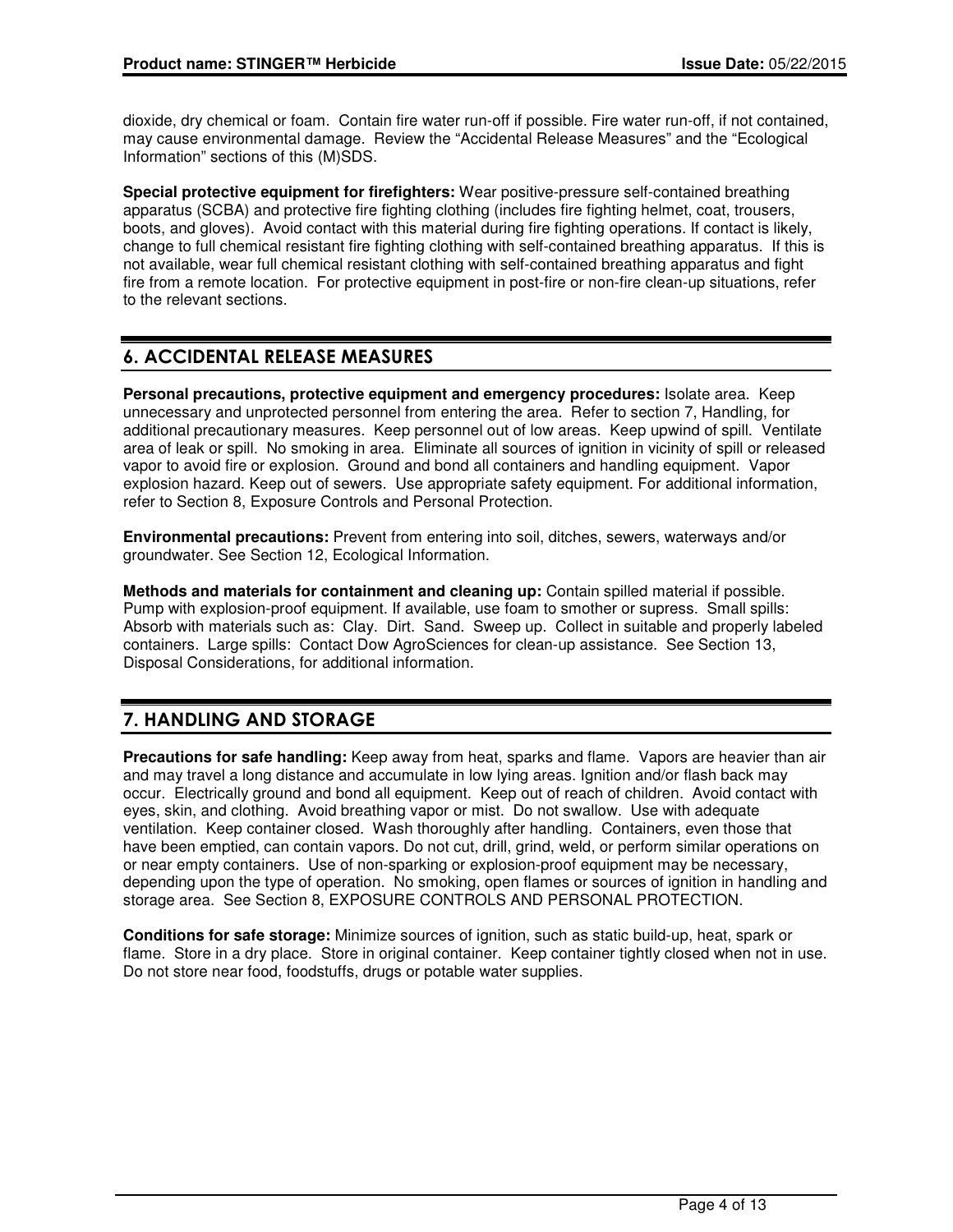dioxide, dry chemical or foam. Contain fire water run-off if possible. Fire water run-off, if not contained, may cause environmental damage. Review the "Accidental Release Measures" and the "Ecological Information" sections of this (M)SDS.

**Special protective equipment for firefighters:** Wear positive-pressure self-contained breathing apparatus (SCBA) and protective fire fighting clothing (includes fire fighting helmet, coat, trousers, boots, and gloves). Avoid contact with this material during fire fighting operations. If contact is likely, change to full chemical resistant fire fighting clothing with self-contained breathing apparatus. If this is not available, wear full chemical resistant clothing with self-contained breathing apparatus and fight fire from a remote location. For protective equipment in post-fire or non-fire clean-up situations, refer to the relevant sections.

## 6. ACCIDENTAL RELEASE MEASURES

**Personal precautions, protective equipment and emergency procedures:** Isolate area. Keep unnecessary and unprotected personnel from entering the area. Refer to section 7, Handling, for additional precautionary measures. Keep personnel out of low areas. Keep upwind of spill. Ventilate area of leak or spill. No smoking in area. Eliminate all sources of ignition in vicinity of spill or released vapor to avoid fire or explosion. Ground and bond all containers and handling equipment. Vapor explosion hazard. Keep out of sewers. Use appropriate safety equipment. For additional information, refer to Section 8, Exposure Controls and Personal Protection.

**Environmental precautions:** Prevent from entering into soil, ditches, sewers, waterways and/or groundwater. See Section 12, Ecological Information.

**Methods and materials for containment and cleaning up:** Contain spilled material if possible. Pump with explosion-proof equipment. If available, use foam to smother or supress. Small spills: Absorb with materials such as: Clay. Dirt. Sand. Sweep up. Collect in suitable and properly labeled containers. Large spills: Contact Dow AgroSciences for clean-up assistance. See Section 13, Disposal Considerations, for additional information.

## 7. HANDLING AND STORAGE

**Precautions for safe handling:** Keep away from heat, sparks and flame. Vapors are heavier than air and may travel a long distance and accumulate in low lying areas. Ignition and/or flash back may occur. Electrically ground and bond all equipment. Keep out of reach of children. Avoid contact with eyes, skin, and clothing. Avoid breathing vapor or mist. Do not swallow. Use with adequate ventilation. Keep container closed. Wash thoroughly after handling. Containers, even those that have been emptied, can contain vapors. Do not cut, drill, grind, weld, or perform similar operations on or near empty containers. Use of non-sparking or explosion-proof equipment may be necessary, depending upon the type of operation. No smoking, open flames or sources of ignition in handling and storage area. See Section 8, EXPOSURE CONTROLS AND PERSONAL PROTECTION.

**Conditions for safe storage:** Minimize sources of ignition, such as static build-up, heat, spark or flame. Store in a dry place. Store in original container. Keep container tightly closed when not in use. Do not store near food, foodstuffs, drugs or potable water supplies.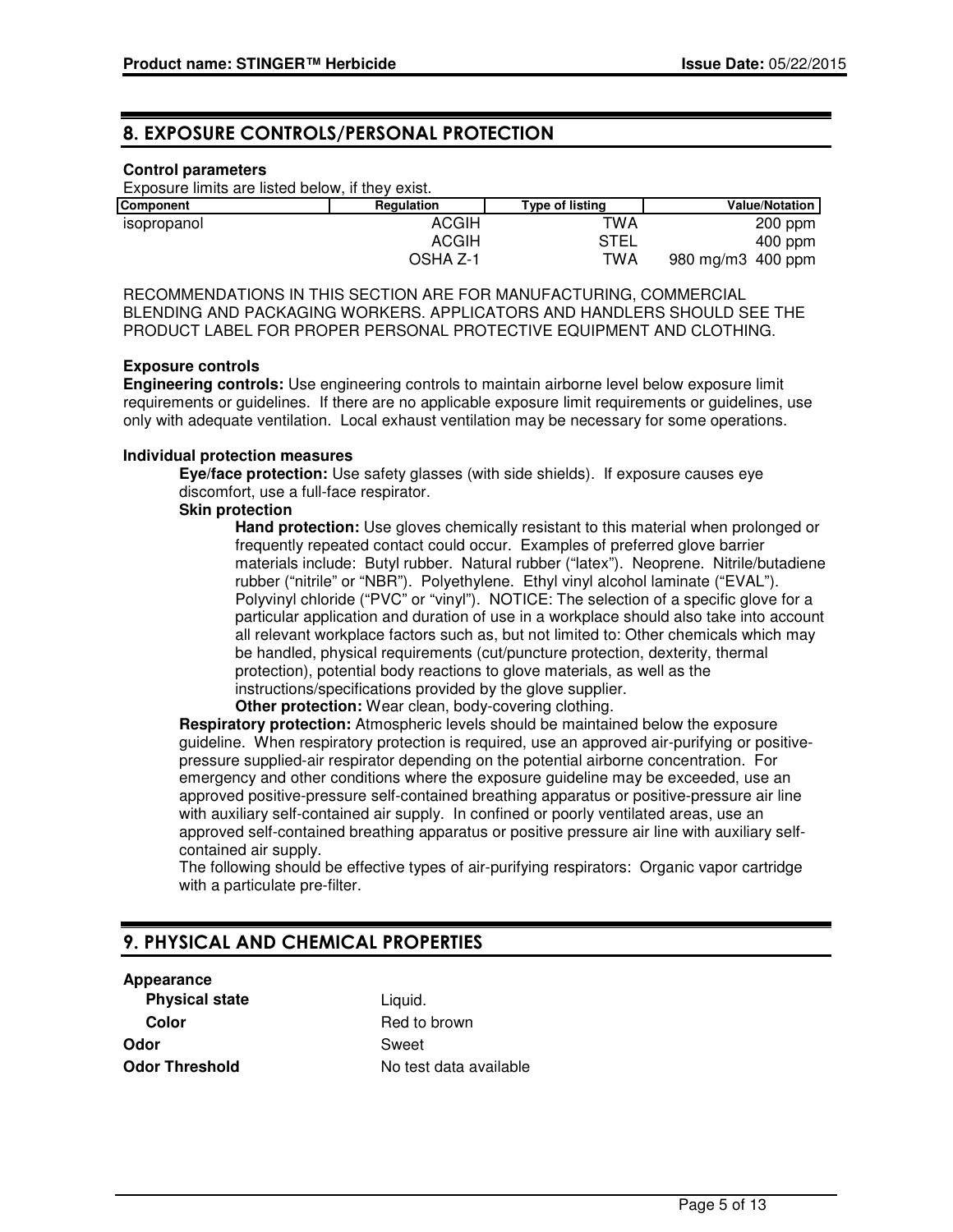### 8. EXPOSURE CONTROLS/PERSONAL PROTECTION

### **Control parameters**

Exposure limits are listed below, if they exist.

| <b>Component</b> | Regulation   | Type of listing | <b>Value/Notation</b> |
|------------------|--------------|-----------------|-----------------------|
| isopropanol      | <b>ACGIH</b> | TWA             | $200$ ppm             |
|                  | <b>ACGIH</b> | <b>STEL</b>     | $400$ ppm             |
|                  | OSHA Z-1     | TWA             | 980 mg/m3 400 ppm     |

RECOMMENDATIONS IN THIS SECTION ARE FOR MANUFACTURING, COMMERCIAL BLENDING AND PACKAGING WORKERS. APPLICATORS AND HANDLERS SHOULD SEE THE PRODUCT LABEL FOR PROPER PERSONAL PROTECTIVE EQUIPMENT AND CLOTHING.

#### **Exposure controls**

**Engineering controls:** Use engineering controls to maintain airborne level below exposure limit requirements or guidelines. If there are no applicable exposure limit requirements or guidelines, use only with adequate ventilation. Local exhaust ventilation may be necessary for some operations.

### **Individual protection measures**

**Eye/face protection:** Use safety glasses (with side shields). If exposure causes eye discomfort, use a full-face respirator.

#### **Skin protection**

**Hand protection:** Use gloves chemically resistant to this material when prolonged or frequently repeated contact could occur. Examples of preferred glove barrier materials include: Butyl rubber. Natural rubber ("latex"). Neoprene. Nitrile/butadiene rubber ("nitrile" or "NBR"). Polyethylene. Ethyl vinyl alcohol laminate ("EVAL"). Polyvinyl chloride ("PVC" or "vinyl"). NOTICE: The selection of a specific glove for a particular application and duration of use in a workplace should also take into account all relevant workplace factors such as, but not limited to: Other chemicals which may be handled, physical requirements (cut/puncture protection, dexterity, thermal protection), potential body reactions to glove materials, as well as the instructions/specifications provided by the glove supplier.

**Other protection:** Wear clean, body-covering clothing.

**Respiratory protection:** Atmospheric levels should be maintained below the exposure guideline. When respiratory protection is required, use an approved air-purifying or positivepressure supplied-air respirator depending on the potential airborne concentration. For emergency and other conditions where the exposure guideline may be exceeded, use an approved positive-pressure self-contained breathing apparatus or positive-pressure air line with auxiliary self-contained air supply. In confined or poorly ventilated areas, use an approved self-contained breathing apparatus or positive pressure air line with auxiliary selfcontained air supply.

The following should be effective types of air-purifying respirators: Organic vapor cartridge with a particulate pre-filter.

## 9. PHYSICAL AND CHEMICAL PROPERTIES

## **Appearance**

**Physical state** Liquid. **Color** Red to brown **Odor** Sweet

**Odor Threshold** No test data available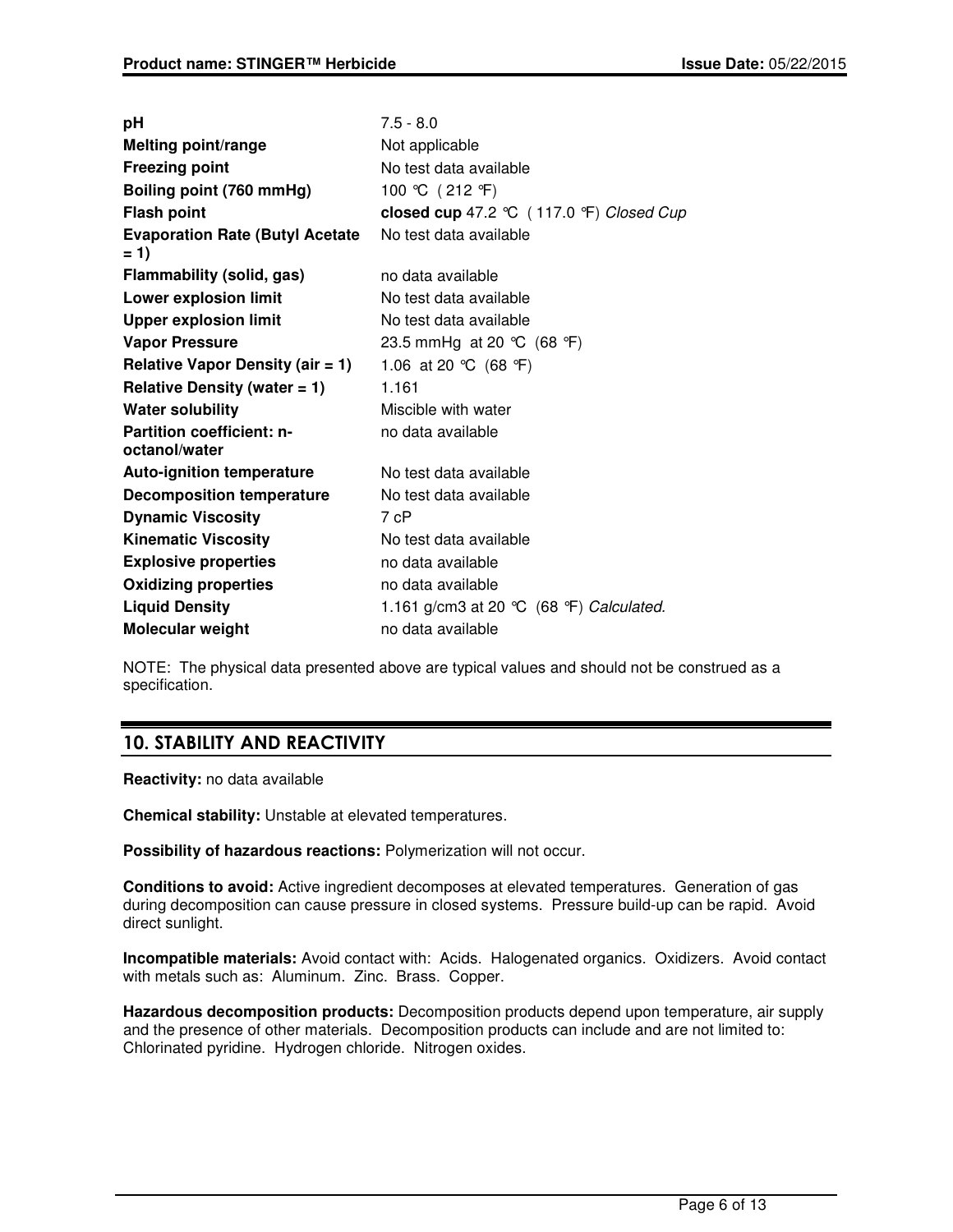| рH                                                | $7.5 - 8.0$                              |
|---------------------------------------------------|------------------------------------------|
| <b>Melting point/range</b>                        | Not applicable                           |
| <b>Freezing point</b>                             | No test data available                   |
| Boiling point (760 mmHg)                          | 100 ℃ (212 °F)                           |
| <b>Flash point</b>                                | closed cup 47.2 ℃ (117.0 °F) Closed Cup  |
| <b>Evaporation Rate (Butyl Acetate</b><br>$= 1$   | No test data available                   |
| Flammability (solid, gas)                         | no data available                        |
| <b>Lower explosion limit</b>                      | No test data available                   |
| <b>Upper explosion limit</b>                      | No test data available                   |
| <b>Vapor Pressure</b>                             | 23.5 mmHg at 20 ℃ (68 °F)                |
| <b>Relative Vapor Density (air = 1)</b>           | 1.06 at 20 °C (68 °F)                    |
| Relative Density (water $= 1$ )                   | 1.161                                    |
| <b>Water solubility</b>                           | Miscible with water                      |
| <b>Partition coefficient: n-</b><br>octanol/water | no data available                        |
| <b>Auto-ignition temperature</b>                  | No test data available                   |
| <b>Decomposition temperature</b>                  | No test data available                   |
| <b>Dynamic Viscosity</b>                          | 7 cP                                     |
| <b>Kinematic Viscosity</b>                        | No test data available                   |
| <b>Explosive properties</b>                       | no data available                        |
| <b>Oxidizing properties</b>                       | no data available                        |
| <b>Liquid Density</b>                             | 1.161 g/cm3 at 20 °C (68 °F) Calculated. |
| Molecular weight                                  | no data available                        |

NOTE: The physical data presented above are typical values and should not be construed as a specification.

## 10. STABILITY AND REACTIVITY

**Reactivity:** no data available

**Chemical stability:** Unstable at elevated temperatures.

**Possibility of hazardous reactions:** Polymerization will not occur.

**Conditions to avoid:** Active ingredient decomposes at elevated temperatures. Generation of gas during decomposition can cause pressure in closed systems. Pressure build-up can be rapid. Avoid direct sunlight.

**Incompatible materials:** Avoid contact with: Acids. Halogenated organics. Oxidizers. Avoid contact with metals such as: Aluminum. Zinc. Brass. Copper.

**Hazardous decomposition products:** Decomposition products depend upon temperature, air supply and the presence of other materials. Decomposition products can include and are not limited to: Chlorinated pyridine. Hydrogen chloride. Nitrogen oxides.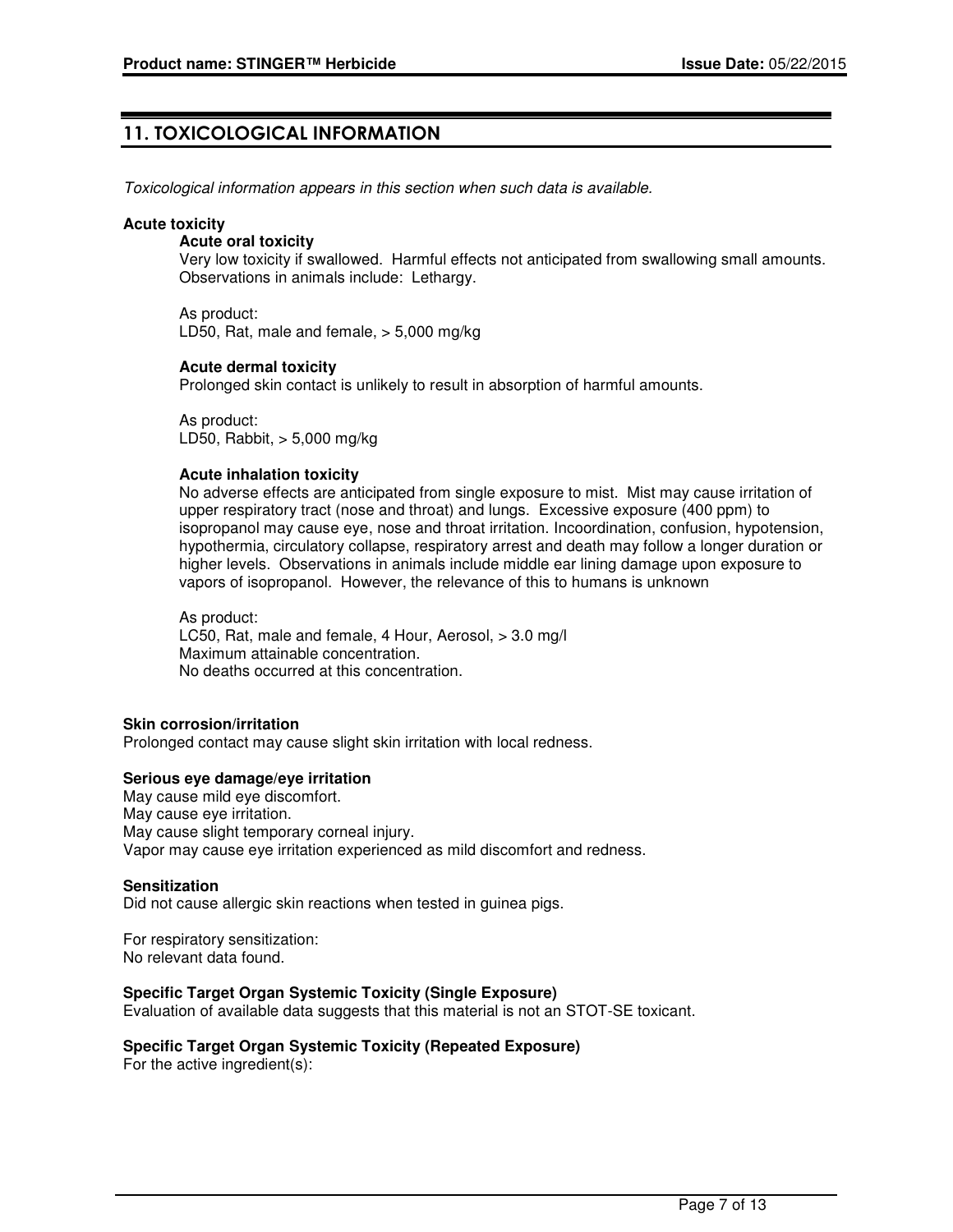## 11. TOXICOLOGICAL INFORMATION

Toxicological information appears in this section when such data is available.

#### **Acute toxicity**

#### **Acute oral toxicity**

Very low toxicity if swallowed. Harmful effects not anticipated from swallowing small amounts. Observations in animals include: Lethargy.

As product: LD50, Rat, male and female, > 5,000 mg/kg

### **Acute dermal toxicity**

Prolonged skin contact is unlikely to result in absorption of harmful amounts.

As product: LD50, Rabbit, > 5,000 mg/kg

### **Acute inhalation toxicity**

No adverse effects are anticipated from single exposure to mist. Mist may cause irritation of upper respiratory tract (nose and throat) and lungs. Excessive exposure (400 ppm) to isopropanol may cause eye, nose and throat irritation. Incoordination, confusion, hypotension, hypothermia, circulatory collapse, respiratory arrest and death may follow a longer duration or higher levels. Observations in animals include middle ear lining damage upon exposure to vapors of isopropanol. However, the relevance of this to humans is unknown

As product: LC50, Rat, male and female, 4 Hour, Aerosol, > 3.0 mg/l Maximum attainable concentration. No deaths occurred at this concentration.

### **Skin corrosion/irritation**

Prolonged contact may cause slight skin irritation with local redness.

### **Serious eye damage/eye irritation**

May cause mild eye discomfort. May cause eye irritation. May cause slight temporary corneal injury. Vapor may cause eye irritation experienced as mild discomfort and redness.

#### **Sensitization**

Did not cause allergic skin reactions when tested in guinea pigs.

For respiratory sensitization: No relevant data found.

### **Specific Target Organ Systemic Toxicity (Single Exposure)**

Evaluation of available data suggests that this material is not an STOT-SE toxicant.

### **Specific Target Organ Systemic Toxicity (Repeated Exposure)**

For the active ingredient(s):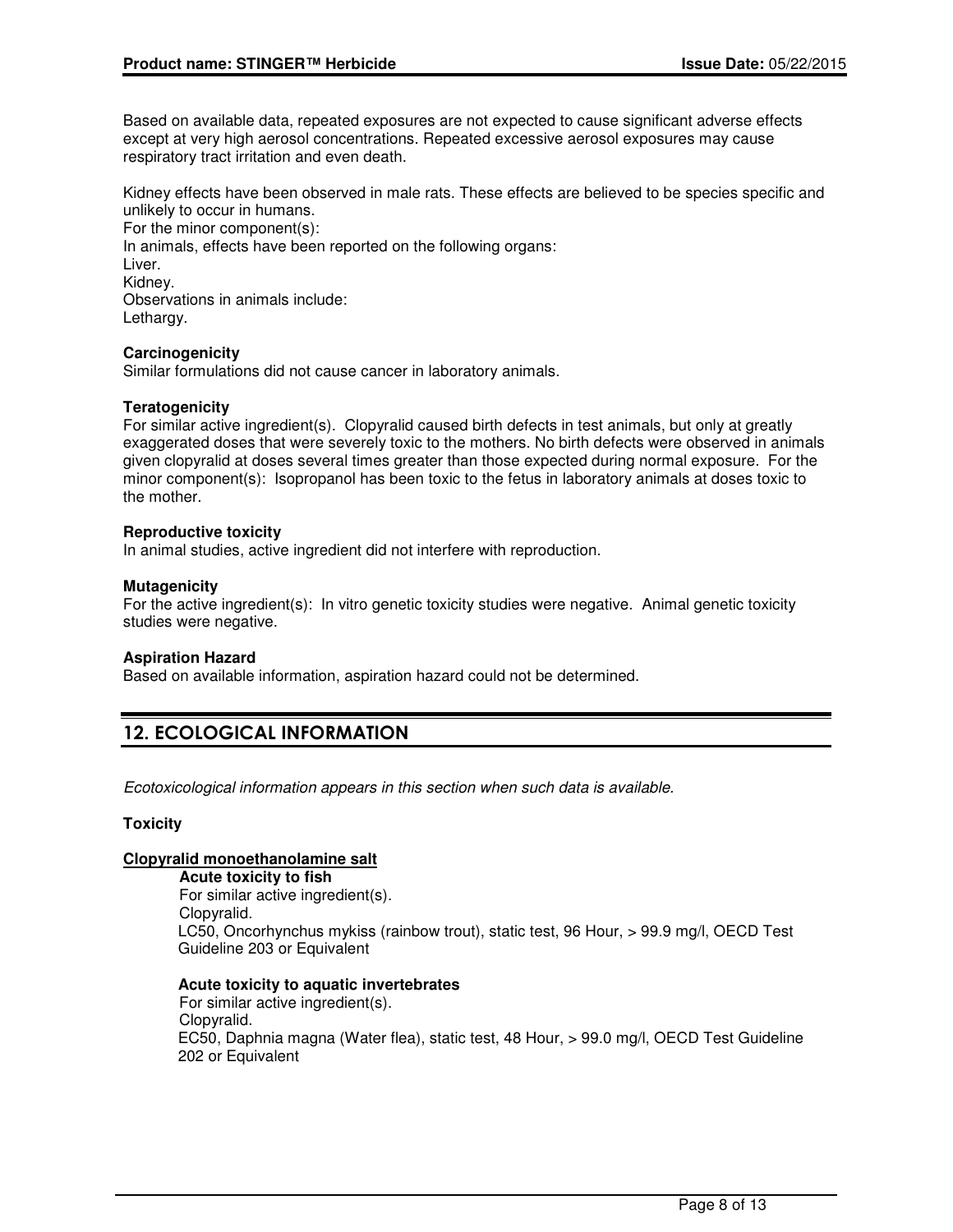Based on available data, repeated exposures are not expected to cause significant adverse effects except at very high aerosol concentrations. Repeated excessive aerosol exposures may cause respiratory tract irritation and even death.

Kidney effects have been observed in male rats. These effects are believed to be species specific and unlikely to occur in humans.

For the minor component(s): In animals, effects have been reported on the following organs: Liver. Kidney. Observations in animals include: Lethargy.

### **Carcinogenicity**

Similar formulations did not cause cancer in laboratory animals.

### **Teratogenicity**

For similar active ingredient(s). Clopyralid caused birth defects in test animals, but only at greatly exaggerated doses that were severely toxic to the mothers. No birth defects were observed in animals given clopyralid at doses several times greater than those expected during normal exposure. For the minor component(s): Isopropanol has been toxic to the fetus in laboratory animals at doses toxic to the mother.

### **Reproductive toxicity**

In animal studies, active ingredient did not interfere with reproduction.

### **Mutagenicity**

For the active ingredient(s): In vitro genetic toxicity studies were negative. Animal genetic toxicity studies were negative.

### **Aspiration Hazard**

Based on available information, aspiration hazard could not be determined.

## 12. ECOLOGICAL INFORMATION

Ecotoxicological information appears in this section when such data is available.

### **Toxicity**

### **Clopyralid monoethanolamine salt**

**Acute toxicity to fish** For similar active ingredient(s). Clopyralid. LC50, Oncorhynchus mykiss (rainbow trout), static test, 96 Hour, > 99.9 mg/l, OECD Test Guideline 203 or Equivalent

### **Acute toxicity to aquatic invertebrates**

For similar active ingredient(s). Clopyralid. EC50, Daphnia magna (Water flea), static test, 48 Hour, > 99.0 mg/l, OECD Test Guideline 202 or Equivalent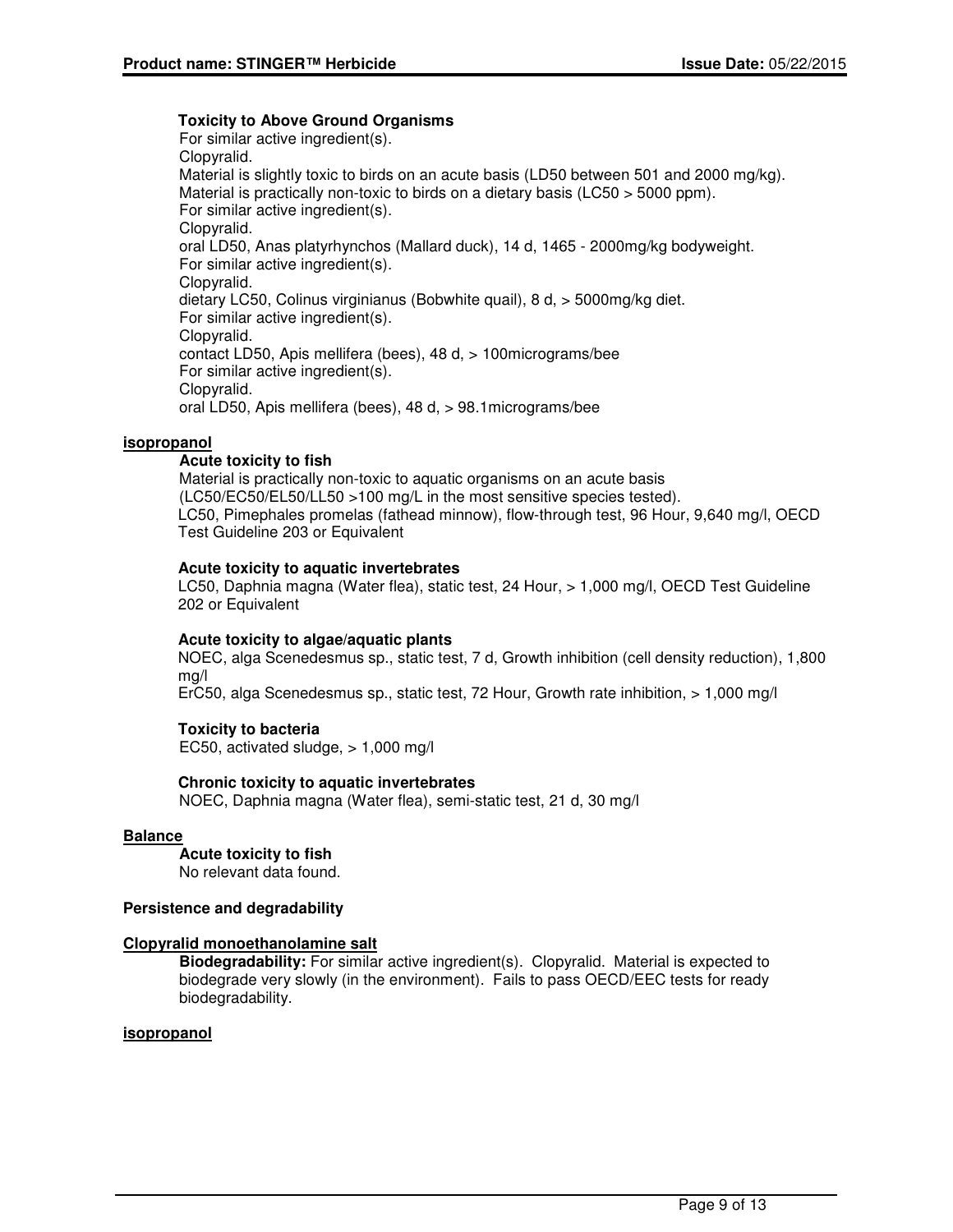### **Toxicity to Above Ground Organisms**

For similar active ingredient(s). Clopyralid. Material is slightly toxic to birds on an acute basis (LD50 between 501 and 2000 mg/kg). Material is practically non-toxic to birds on a dietary basis (LC50 > 5000 ppm). For similar active ingredient(s). Clopyralid. oral LD50, Anas platyrhynchos (Mallard duck), 14 d, 1465 - 2000mg/kg bodyweight. For similar active ingredient(s). Clopyralid. dietary LC50, Colinus virginianus (Bobwhite quail), 8 d, > 5000mg/kg diet. For similar active ingredient(s). Clopyralid. contact LD50, Apis mellifera (bees), 48 d, > 100micrograms/bee For similar active ingredient(s). Clopyralid. oral LD50, Apis mellifera (bees), 48 d, > 98.1micrograms/bee

### **isopropanol**

### **Acute toxicity to fish**

Material is practically non-toxic to aquatic organisms on an acute basis (LC50/EC50/EL50/LL50 >100 mg/L in the most sensitive species tested). LC50, Pimephales promelas (fathead minnow), flow-through test, 96 Hour, 9,640 mg/l, OECD Test Guideline 203 or Equivalent

### **Acute toxicity to aquatic invertebrates**

LC50, Daphnia magna (Water flea), static test, 24 Hour, > 1,000 mg/l, OECD Test Guideline 202 or Equivalent

### **Acute toxicity to algae/aquatic plants**

NOEC, alga Scenedesmus sp., static test, 7 d, Growth inhibition (cell density reduction), 1,800 mg/l

ErC50, alga Scenedesmus sp., static test, 72 Hour, Growth rate inhibition, > 1,000 mg/l

### **Toxicity to bacteria**

EC50, activated sludge, > 1,000 mg/l

### **Chronic toxicity to aquatic invertebrates**

NOEC, Daphnia magna (Water flea), semi-static test, 21 d, 30 mg/l

### **Balance**

**Acute toxicity to fish**

No relevant data found.

### **Persistence and degradability**

### **Clopyralid monoethanolamine salt**

**Biodegradability:** For similar active ingredient(s). Clopyralid. Material is expected to biodegrade very slowly (in the environment). Fails to pass OECD/EEC tests for ready biodegradability.

### **isopropanol**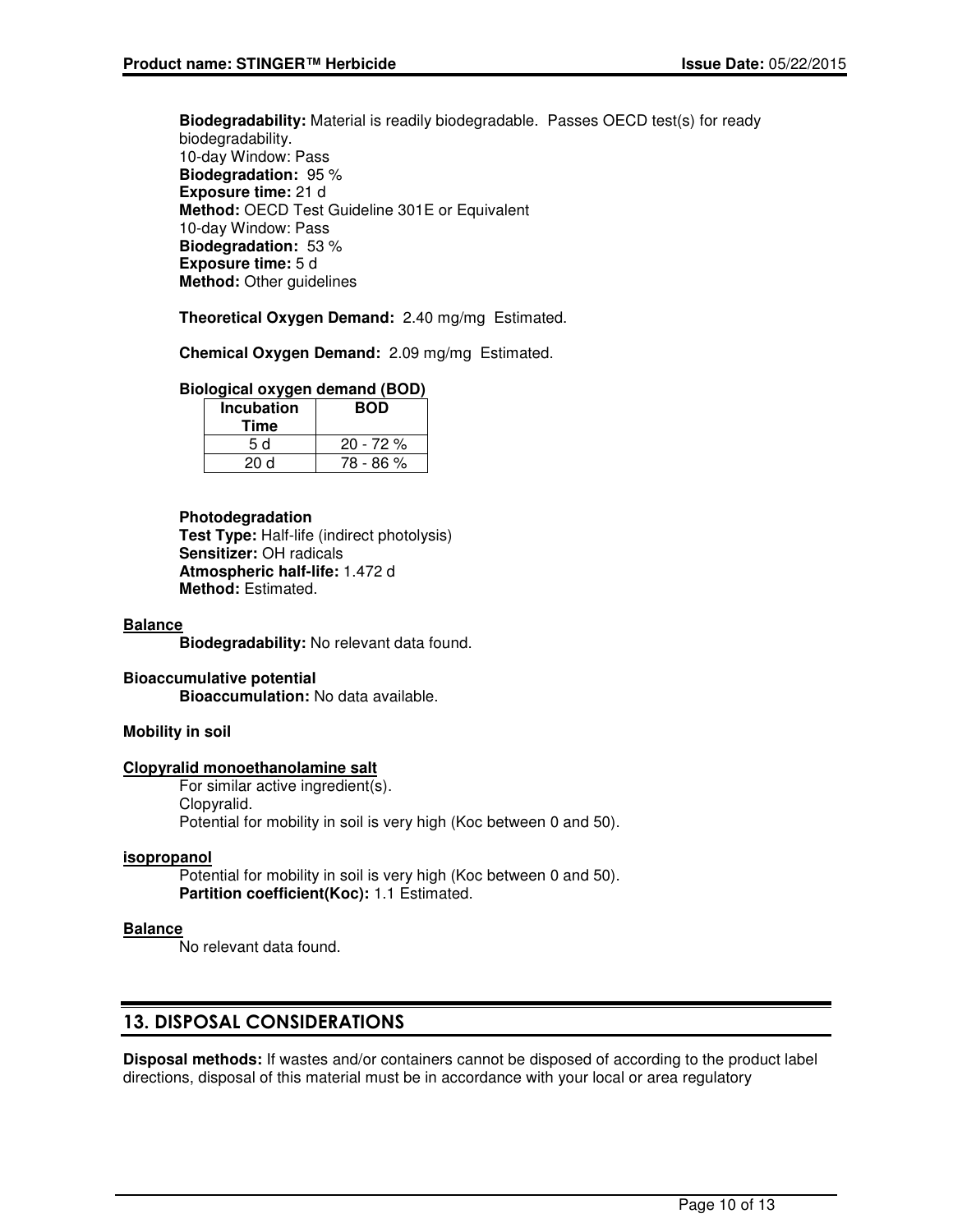**Biodegradability:** Material is readily biodegradable. Passes OECD test(s) for ready biodegradability. 10-day Window: Pass **Biodegradation:** 95 % **Exposure time:** 21 d **Method:** OECD Test Guideline 301E or Equivalent 10-day Window: Pass **Biodegradation:** 53 % **Exposure time:** 5 d **Method:** Other guidelines

**Theoretical Oxygen Demand:** 2.40 mg/mg Estimated.

**Chemical Oxygen Demand:** 2.09 mg/mg Estimated.

### **Biological oxygen demand (BOD)**

| <b>Incubation</b><br>Time | <b>BOD</b> |
|---------------------------|------------|
| 5 d                       | $20 - 72%$ |
| 20 d                      | 78 - 86 %  |

#### **Photodegradation**

**Test Type:** Half-life (indirect photolysis) **Sensitizer:** OH radicals **Atmospheric half-life:** 1.472 d **Method:** Estimated.

#### **Balance**

**Biodegradability:** No relevant data found.

#### **Bioaccumulative potential Bioaccumulation:** No data available.

### **Mobility in soil**

### **Clopyralid monoethanolamine salt**

For similar active ingredient(s). Clopyralid. Potential for mobility in soil is very high (Koc between 0 and 50).

#### **isopropanol**

Potential for mobility in soil is very high (Koc between 0 and 50). **Partition coefficient(Koc):** 1.1 Estimated.

### **Balance**

No relevant data found.

### 13. DISPOSAL CONSIDERATIONS

**Disposal methods:** If wastes and/or containers cannot be disposed of according to the product label directions, disposal of this material must be in accordance with your local or area regulatory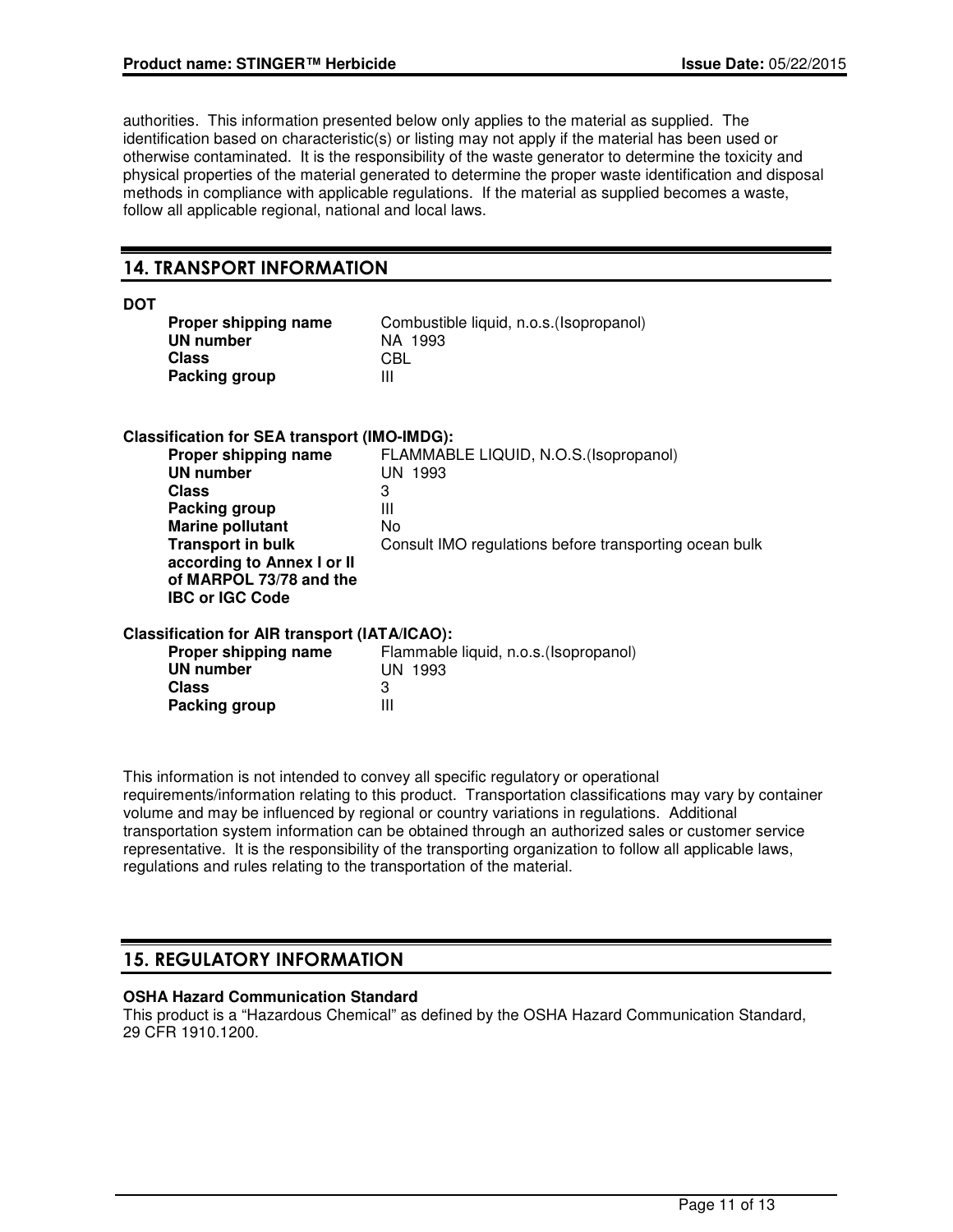authorities. This information presented below only applies to the material as supplied. The identification based on characteristic(s) or listing may not apply if the material has been used or otherwise contaminated. It is the responsibility of the waste generator to determine the toxicity and physical properties of the material generated to determine the proper waste identification and disposal methods in compliance with applicable regulations. If the material as supplied becomes a waste, follow all applicable regional, national and local laws.

### 14. TRANSPORT INFORMATION

| ۰.<br>۰.<br>۰.<br>v |
|---------------------|
|---------------------|

| Proper shipping name | Com |
|----------------------|-----|
| UN number            | ΝA  |
| Class                | CBL |
| <b>Packing group</b> | Ш   |

Combustible liquid, n.o.s.(Isopropanol) **NA 1993**<br>CBL

### **Classification for SEA transport (IMO-IMDG):**

| FLAMMABLE LIQUID, N.O.S. (Isopropanol)                 |
|--------------------------------------------------------|
| UN 1993                                                |
| 3                                                      |
| Ш                                                      |
| No                                                     |
| Consult IMO regulations before transporting ocean bulk |
|                                                        |
|                                                        |
|                                                        |
|                                                        |

### **Classification for AIR transport (IATA/ICAO):**

| Flammable liquid, n.o.s. (Isopropanol) |
|----------------------------------------|
| UN 1993                                |
|                                        |
| Ш                                      |
|                                        |

This information is not intended to convey all specific regulatory or operational requirements/information relating to this product. Transportation classifications may vary by container volume and may be influenced by regional or country variations in regulations. Additional transportation system information can be obtained through an authorized sales or customer service representative. It is the responsibility of the transporting organization to follow all applicable laws, regulations and rules relating to the transportation of the material.

## 15. REGULATORY INFORMATION

### **OSHA Hazard Communication Standard**

This product is a "Hazardous Chemical" as defined by the OSHA Hazard Communication Standard, 29 CFR 1910.1200.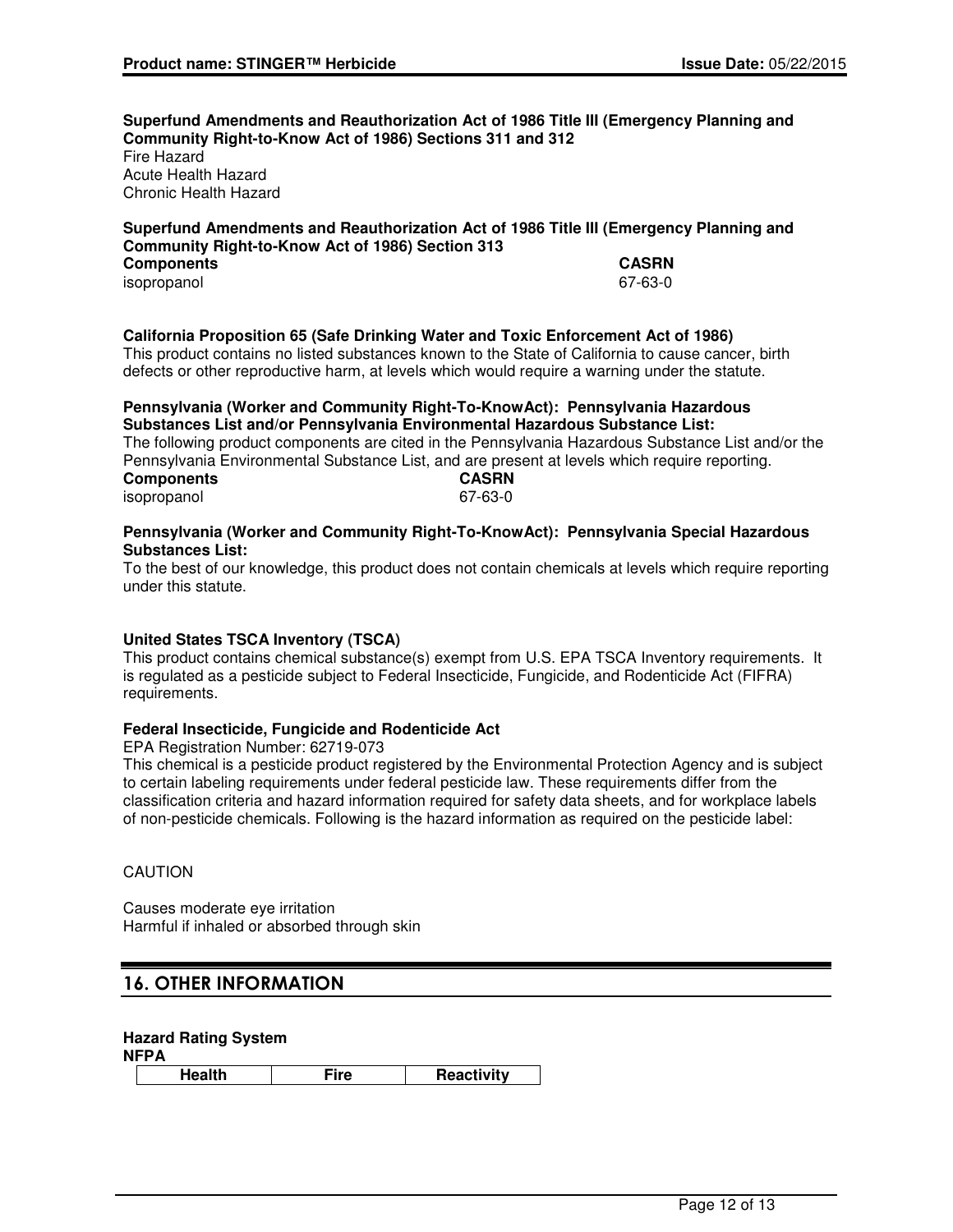**Superfund Amendments and Reauthorization Act of 1986 Title III (Emergency Planning and Community Right-to-Know Act of 1986) Sections 311 and 312** Fire Hazard Acute Health Hazard

Chronic Health Hazard

### **Superfund Amendments and Reauthorization Act of 1986 Title III (Emergency Planning and Community Right-to-Know Act of 1986) Section 313**

| <b>Components</b> | <b>CASRN</b> |
|-------------------|--------------|
| isopropanol       | 67-63-0      |
|                   |              |

### **California Proposition 65 (Safe Drinking Water and Toxic Enforcement Act of 1986)**

This product contains no listed substances known to the State of California to cause cancer, birth defects or other reproductive harm, at levels which would require a warning under the statute.

#### **Pennsylvania (Worker and Community Right-To-KnowAct): Pennsylvania Hazardous Substances List and/or Pennsylvania Environmental Hazardous Substance List:**

The following product components are cited in the Pennsylvania Hazardous Substance List and/or the Pennsylvania Environmental Substance List, and are present at levels which require reporting.<br> **CASRN Components** isopropanol 67-63-0

### **Pennsylvania (Worker and Community Right-To-KnowAct): Pennsylvania Special Hazardous Substances List:**

To the best of our knowledge, this product does not contain chemicals at levels which require reporting under this statute.

### **United States TSCA Inventory (TSCA)**

This product contains chemical substance(s) exempt from U.S. EPA TSCA Inventory requirements. It is regulated as a pesticide subject to Federal Insecticide, Fungicide, and Rodenticide Act (FIFRA) requirements.

### **Federal Insecticide, Fungicide and Rodenticide Act**

EPA Registration Number: 62719-073

This chemical is a pesticide product registered by the Environmental Protection Agency and is subject to certain labeling requirements under federal pesticide law. These requirements differ from the classification criteria and hazard information required for safety data sheets, and for workplace labels of non-pesticide chemicals. Following is the hazard information as required on the pesticide label:

### **CAUTION**

Causes moderate eye irritation Harmful if inhaled or absorbed through skin

### 16. OTHER INFORMATION

### **Hazard Rating System**

**NFPA**

**Health Fire Reactivity**